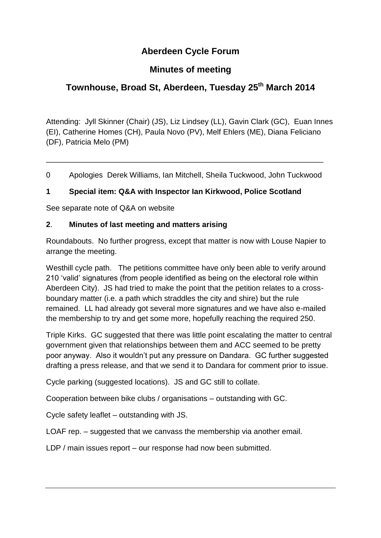# **Aberdeen Cycle Forum**

## **Minutes of meeting**

# **Townhouse, Broad St, Aberdeen, Tuesday 25 th March 2014**

Attending: Jyll Skinner (Chair) (JS), Liz Lindsey (LL), Gavin Clark (GC), Euan Innes (EI), Catherine Homes (CH), Paula Novo (PV), Melf Ehlers (ME), Diana Feliciano (DF), Patricia Melo (PM)

0 Apologies Derek Williams, Ian Mitchell, Sheila Tuckwood, John Tuckwood

\_\_\_\_\_\_\_\_\_\_\_\_\_\_\_\_\_\_\_\_\_\_\_\_\_\_\_\_\_\_\_\_\_\_\_\_\_\_\_\_\_\_\_\_\_\_\_\_\_\_\_\_\_\_\_\_\_\_\_\_\_\_\_\_\_

### **1 Special item: Q&A with Inspector Ian Kirkwood, Police Scotland**

See separate note of Q&A on website

#### **2**. **Minutes of last meeting and matters arising**

Roundabouts. No further progress, except that matter is now with Louse Napier to arrange the meeting.

Westhill cycle path. The petitions committee have only been able to verify around 210 'valid' signatures (from people identified as being on the electoral role within Aberdeen City). JS had tried to make the point that the petition relates to a crossboundary matter (i.e. a path which straddles the city and shire) but the rule remained. LL had already got several more signatures and we have also e-mailed the membership to try and get some more, hopefully reaching the required 250.

Triple Kirks. GC suggested that there was little point escalating the matter to central government given that relationships between them and ACC seemed to be pretty poor anyway. Also it wouldn't put any pressure on Dandara. GC further suggested drafting a press release, and that we send it to Dandara for comment prior to issue.

Cycle parking (suggested locations). JS and GC still to collate.

Cooperation between bike clubs / organisations – outstanding with GC.

Cycle safety leaflet – outstanding with JS.

LOAF rep. – suggested that we canvass the membership via another email.

LDP / main issues report – our response had now been submitted.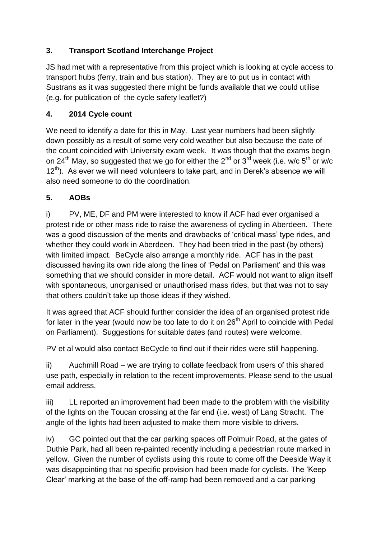## **3. Transport Scotland Interchange Project**

JS had met with a representative from this project which is looking at cycle access to transport hubs (ferry, train and bus station). They are to put us in contact with Sustrans as it was suggested there might be funds available that we could utilise (e.g. for publication of the cycle safety leaflet?)

### **4. 2014 Cycle count**

We need to identify a date for this in May. Last year numbers had been slightly down possibly as a result of some very cold weather but also because the date of the count coincided with University exam week. It was though that the exams begin on 24<sup>th</sup> May, so suggested that we go for either the 2<sup>nd</sup> or 3<sup>rd</sup> week (i.e. w/c 5<sup>th</sup> or w/c 12<sup>th</sup>). As ever we will need volunteers to take part, and in Derek's absence we will also need someone to do the coordination.

## **5. AOBs**

i) PV, ME, DF and PM were interested to know if ACF had ever organised a protest ride or other mass ride to raise the awareness of cycling in Aberdeen. There was a good discussion of the merits and drawbacks of 'critical mass' type rides, and whether they could work in Aberdeen. They had been tried in the past (by others) with limited impact. BeCycle also arrange a monthly ride. ACF has in the past discussed having its own ride along the lines of 'Pedal on Parliament' and this was something that we should consider in more detail. ACF would not want to align itself with spontaneous, unorganised or unauthorised mass rides, but that was not to say that others couldn't take up those ideas if they wished.

It was agreed that ACF should further consider the idea of an organised protest ride for later in the year (would now be too late to do it on 26<sup>th</sup> April to coincide with Pedal on Parliament). Suggestions for suitable dates (and routes) were welcome.

PV et al would also contact BeCycle to find out if their rides were still happening.

ii) Auchmill Road – we are trying to collate feedback from users of this shared use path, especially in relation to the recent improvements. Please send to the usual email address.

iii) LL reported an improvement had been made to the problem with the visibility of the lights on the Toucan crossing at the far end (i.e. west) of Lang Stracht. The angle of the lights had been adjusted to make them more visible to drivers.

iv) GC pointed out that the car parking spaces off Polmuir Road, at the gates of Duthie Park, had all been re-painted recently including a pedestrian route marked in yellow. Given the number of cyclists using this route to come off the Deeside Way it was disappointing that no specific provision had been made for cyclists. The 'Keep Clear' marking at the base of the off-ramp had been removed and a car parking